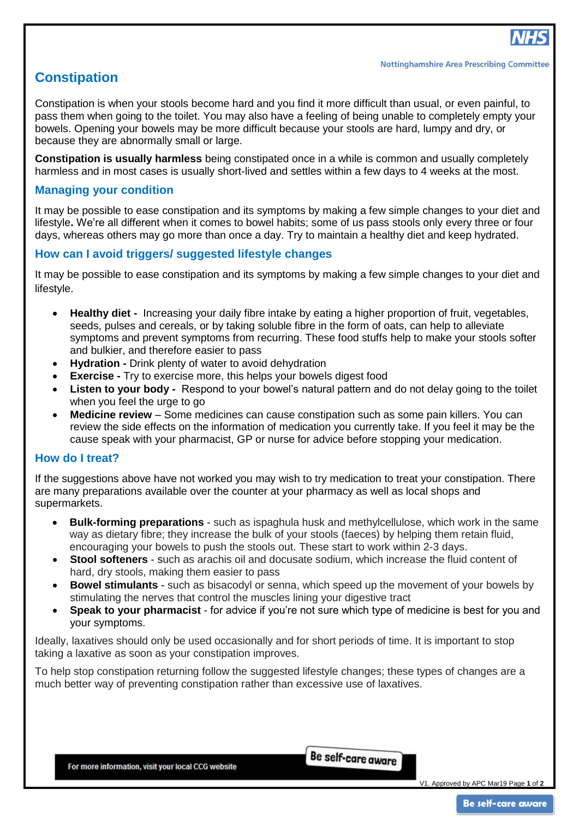# **Constipation**

Constipation is when your stools become hard and you find it more difficult than usual, or even painful, to pass them when going to the toilet. You may also have a feeling of being unable to completely empty your bowels. Opening your bowels may be more difficult because your stools are hard, lumpy and dry, or because they are abnormally small or large.

**Constipation is usually harmless** being constipated once in a while is common and usually completely harmless and in most cases is usually short-lived and settles within a few days to 4 weeks at the most.

## **Managing your condition**

It may be possible to ease constipation and its symptoms by making a few simple changes to your diet and lifestyle**.** We're all different when it comes to bowel habits; some of us pass stools only every three or four days, whereas others may go more than once a day. Try to maintain a healthy diet and keep hydrated.

# **How can I avoid triggers/ suggested lifestyle changes**

It may be possible to ease constipation and its symptoms by making a few simple changes to your diet and lifestyle.

- **Healthy diet** Increasing your daily fibre intake by eating a higher proportion of fruit, vegetables, seeds, pulses and cereals, or by taking soluble fibre in the form of oats, can help to alleviate symptoms and prevent symptoms from recurring. These food stuffs help to make your stools softer and bulkier, and therefore easier to pass
- **Hydration -** Drink plenty of water to avoid dehydration
- **Exercise** Try to exercise more, this helps your bowels digest food
- **Listen to your body -** Respond to your bowel's natural pattern and do not delay going to the toilet when you feel the urge to go
- **Medicine review**  Some medicines can cause constipation such as some pain killers. You can review the side effects on the information of medication you currently take. If you feel it may be the cause speak with your pharmacist, GP or nurse for advice before stopping your medication.

#### **How do I treat?**

If the suggestions above have not worked you may wish to try medication to treat your constipation. There are many preparations available over the counter at your pharmacy as well as local shops and supermarkets.

- **Bulk-forming preparations** such as ispaghula husk and methylcellulose, which work in the same way as dietary fibre; they increase the bulk of your stools (faeces) by helping them retain fluid, encouraging your bowels to push the stools out. These start to work within 2-3 days.
- **Stool softeners** such as arachis oil and docusate sodium, which increase the fluid content of hard, dry stools, making them easier to pass
- **Bowel stimulants** such as bisacodyl or senna, which speed up the movement of your bowels by stimulating the nerves that control the muscles lining your digestive tract
- **Speak to your pharmacist** for advice if you're not sure which type of medicine is best for you and your symptoms.

Ideally, laxatives should only be used occasionally and for short periods of time. It is important to stop taking a laxative as soon as your constipation improves.

To help stop constipation returning follow the suggested lifestyle changes; these types of changes are a much better way of preventing constipation rather than excessive use of laxatives.

Be self-care aware

V1. Approved by APC Mar19 Page **1** of **2**